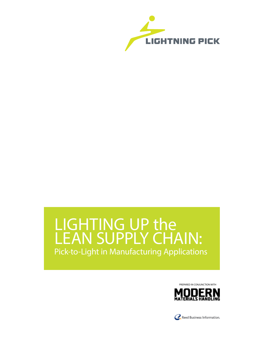

# LIGHTING UP the LEAN SUPPLY CHAIN: Pick-to-Light in Manufacturing Applications



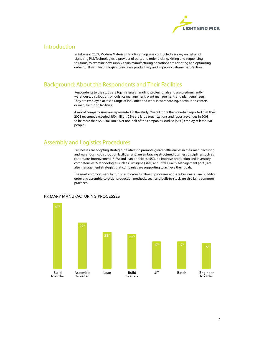

### Introduction

In February, 2009, Modern Materials Handling magazine conducted a survey on behalf of Lightning Pick Technologies, a provider of parts and order picking, kitting and sequencing solutions, to examine how supply chain manufacturing operations are adopting and optimizing order fulfillment technologies to increase productivity and improve customer satisfaction.

# Background: About the Respondents and Their Facilities

Respondents to the study are top materials handling professionals and are predominantly warehouse, distribution, or logistics management, plant management, and plant engineers. They are employed across a range of industries and work in warehousing, distribution centers or manufacturing facilities.

A mix of company sizes are represented in the study. Overall more than one-half reported that their 2008 revenues exceeded \$50 million; 28% are large organizations and report revenues in 2008 to be more than \$500 million. Over one-half of the companies studied (56%) employ at least 250 people.

## Assembly and Logistics Procedures

Businesses are adopting strategic initiatives to promote greater efficiencies in their manufacturing and warehousing/distribution facilities, and are embracing structured business disciplines such as continuous improvement (71%) and lean principles (55%) to improve production and inventory competencies. Methodologies such as Six Sigma (34%) and Total Quality Management (29%) are also management strategies that companies are supporting to achieve their goals.

The most common manufacturing and order fulfillment processes at these businesses are build-toorder and assemble-to-order production methods. Lean and built-to-stock are also fairly common practices.



#### PRIMARY MANUFACTURING PROCESSES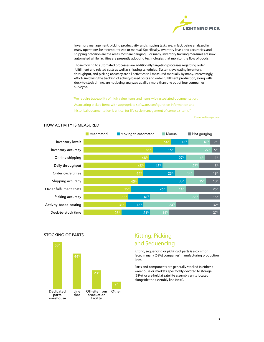

Inventory management, picking productivity, and shipping tasks are, in fact, being analyzed in many operations be it computerized or manual. Specifically, inventory levels and accuracies, and shipping precision are the areas most are gauging. For many, inventory tracking measures are now automated while facilities are presently adopting technologies that monitor the flow of goods.

Those moving to automated processes are additionally targeting processes regarding order fulfillment and related costs as well as shipping schedules. Systems evaluating inventory, throughput, and picking accuracy are all activities still measured manually by many. Interestingly, efforts involving the tracking of activity-based costs and order fulfillment production, along with dock-to-stock timing, are not being analyzed at all by more than one out of four companies surveyed.

'We require traceability of high value items and items with associated documentation. Associating picked items with appropriate software, configuration information and historical documentation is critical for life cycle management of complex items."

Executive Management



#### HOW ACTIVITY IS MEASURED

STOCKING OF PARTS



# Kitting, Picking and Sequencing

Kitting, sequencing or picking of parts is a common facet in many (68%) companies' manufacturing production lines.

Parts and components are generally stocked in either a warehouse or 'markets' specifically devoted to storage (58%), or are held at satellite assembly units located alongside the assembly line (44%).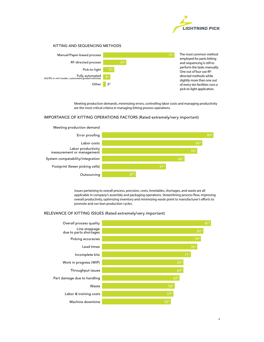

#### KITTING AND SEQUENCING METHODS



Meeting production demands, minimizing errors, controlling labor costs and managing productivity are the most critical criteria in managing kitting process operations.

#### IMPORTANCE OF KITTING OPERATIONS FACTORS (Rated extremely/very important)



Issues pertaining to overall process, precision, costs, timetables, shortages, and waste are all applicable in company's assembly and packaging operations. Streamlining process flow, improving overall productivity, optimizing inventory and minimizing waste point to manufacturer's efforts to promote and run lean production cycles.

#### RELEVANCE OF KITTING ISSUES (Rated extremely/very important)

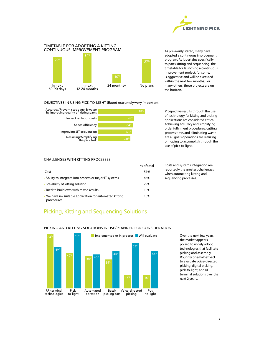

#### TIMETABLE FOR ADOPTING A KITTING CONTINUOUS IMPROVEMENT PROGRAM



As previously stated, many have adopted a continuous improvement program. As it pertains specifically to parts kitting and sequencing, the timetable for launching a continuous improvement project, for some, is aggressive and will be executed within the next few months. For many others, these projects are on the horizon.

#### OBJECTIVES IN USING PICK-TO-LIGHT (Rated extremely/very important)



Prospective results through the use of technology for kitting and picking applications are considered critical. Achieving accuracy and simplifying order fulfillment procedures, cutting process time, and eliminating waste are all goals operations are realizing or hoping to accomplish through the use of pick-to-light.

#### CHALLENGES WITH KITTING PROCESSES

|                                                                       | % of total |        |
|-----------------------------------------------------------------------|------------|--------|
| Cost                                                                  | 51%        | r<br>W |
| • Ability to integrate into process or major IT systems               | 46%        | S)     |
| • Scalability of kitting solution                                     | 29%        |        |
| • Tried to build own with mixed results                               | 19%        |        |
| • We have no suitable application for automated kitting<br>procedures | 15%        |        |

Costs and systems integration are eportedly the greatest challenges when automating kitting and equencing processes.

# Picking, Kitting and Sequencing Solutions



#### PICKING AND KITTING SOLUTIONS IN USE/PLANNED FOR CONSIDERATION

Over the next few years, the market appears poised to widely adopt technologies that facilitate picking and assembly. Roughly one-half expect to evaluate voice-directed picking, digital picking, pick-to-light, and RF terminal solutions over the next 2 years.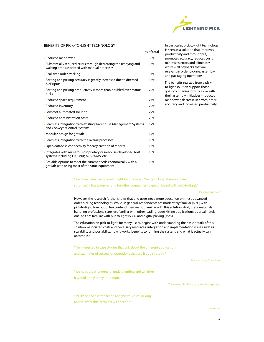

#### BENEFITS OF PICK-TO-LIGHT TECHNOLOGY

|                                                                                                                     | % of total |
|---------------------------------------------------------------------------------------------------------------------|------------|
| • Reduced manpower                                                                                                  | 39%        |
| • Substantially reduced errors through decreasing the readying and<br>walking time associated with manual processes | 36%        |
| • Real-time order tracking                                                                                          | 34%        |
| Sorting and picking accuracy is greatly increased due to directed<br>picks/puts                                     | 33%        |
| • Sorting and picking productivity is more than doubled over manual<br>picks                                        | 29%        |
| • Reduced space requirement                                                                                         | 24%        |
| · Reduced inventory                                                                                                 | 22%        |
| • Low cost automated solution                                                                                       | 22%        |
| • Reduced administration costs                                                                                      | 20%        |
| • Seamless integration with existing Warehouse Management Systems<br>and Conveyor Control Systems                   | 17%        |
| • Modular design for growth                                                                                         | 17%        |
| • Seamless integration with the overall processes                                                                   | 16%        |
| • Open database connectivity for easy creation of reports                                                           | 16%        |
| Integrates with numerous proprietary or in-house-developed host<br>systems including ERP, MRP, MES, WMS, etc.       | 16%        |
| Scalable options to meet the current needs economically with a<br>growth path using most of the same equipment      | 15%        |

In particular, pick-to-light technology is seen as a solution that improves productivity and throughput, promotes accuracy, reduces costs, minimizes errors and eliminates waste – all paybacks that are relevant in order picking, assembly, and packaging operations.

The benefits realized from a pickto-light solution support those goals companies look to solve with their assembly initiatives – reduced manpower, decrease in errors, order accuracy and increased productivity.

"We have been using Pick-to-light for 20+ years. We try to keep it simple. I am

surprised it has taken so long for other companies to get on board with pick-to-light."

Plant Management

However, the research further shows that end users need more education on these advanced order picking technologies. While, in general, respondents are moderately familiar (60%) with pick-to-light, four out of ten contend they are not familiar with this solution. And, these materials handling professionals are less familiar with other leading-edge kitting applications; approximately one-half are familiar with put-to-light (53%) and digital picking (49%).

The education on pick-to-light, for many users, begins with understanding the basic details of this solution, associated costs and necessary resources, integration and implementation issues such as scalability and portability, how it works, benefits to running the system, and what it actually can accomplish.

"I'm interested in case studies that talk about the different applications

and examples of successful operations that use it as a strategy."

Manufacturing Operations

"We need a better general understanding and whether it would apply to my operation."

Warehouse, Distribution, Logistics Management

"I'd like to see a comparison analysis vs. Voice Picking and vs. Wearable Terminal with scanner."

Consultant

6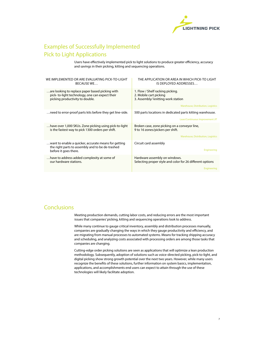

# Examples of Successfully Implemented Pick to Light Applications

Users have effectively implemented pick to light solutions to produce greater efficiency, accuracy and savings in their picking, kitting and sequencing operations.

| WE IMPLEMENTED OR ARE EVALUATING PICK-TO-LIGHT<br><b>BECAUSE WE</b>                                                                  | THE APPLICATION OR AREA IN WHICH PICK-TO LIGHT<br>IS DEPLOYED ADDRESSES                                                                |
|--------------------------------------------------------------------------------------------------------------------------------------|----------------------------------------------------------------------------------------------------------------------------------------|
| are looking to replace paper based picking with<br>pick-to-light technology, one can expect their<br>picking productivity to double. | 1. Flow / Shelf racking picking.<br>2. Mobile cart picking<br>3. Assembly/ knitting work station<br>Warehouse, Distribution, Logistics |
| need to error-proof parts kits before they get line-side.                                                                            | 500 parts locations in dedicated parts kitting warehouse.<br>Lean/Continuous Improvement JIT                                           |
| have over 1,000 SKUs. Zone picking using pick-to-light<br>is the fastest way to pick 1300 orders per shift.                          | Broken case, zone picking on a conveyor line,<br>9 to 16 zones/pickers per shift.<br>Warehouse, Distribution, Logistics                |
| want to enable a quicker, accurate means for getting<br>the right parts to assembly and to be de-trashed<br>before it goes there.    | Circuit card assembly<br><b>Engineering</b>                                                                                            |
| have to address added complexity at some of<br>our hardware stations.                                                                | Hardware assembly on windows.<br>Selecting proper style and color for 26 different options<br>Engineering                              |
|                                                                                                                                      |                                                                                                                                        |

## Conclusions

Meeting production demands, cutting labor costs, and reducing errors are the most important issues that companies' picking, kitting and sequencing operations look to address.

While many continue to gauge critical inventory, assembly and distribution processes manually, companies are gradually changing the ways in which they gauge productivity and efficiency, and are migrating from manual processes to automated systems. Means for tracking shipping accuracy and scheduling, and analyzing costs associated with processing orders are among those tasks that companies are changing.

Cutting-edge order picking solutions are seen as applications that will optimize a lean production methodology. Subsequently, adoption of solutions such as voice-directed picking, pick-to-light, and digital picking show strong growth potential over the next two years. However, while many users recognize the benefits of these solutions, further information on system basics, implementation, applications, and accomplishments end users can expect to attain through the use of these technologies will likely facilitate adoption.